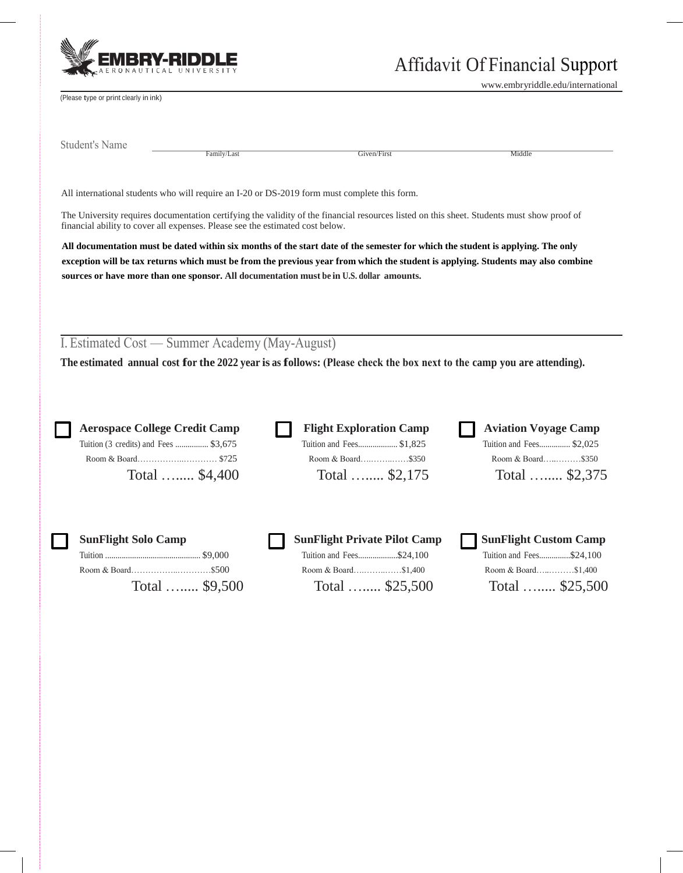

[www.embryriddle.edu/international](http://www.embryriddle.edu/international) 

(Please type or print clearly in ink)

Student's Name

Family/Last Middle

All international students who will require an I-20 or DS-2019 form must complete this form.

The University requires documentation certifying the validity of the financial resources listed on this sheet. Students must show proof of financial ability to cover all expenses. Please see the estimated cost below.

**All documentation must be dated within six months of the start date of the semester for which the student is applying. The only exception will be tax returns which must be from the previous year from which the student is applying. Students may also combine sources or have more than one sponsor. All documentation must be in U.S. dollar amounts.** 

I. Estimated Cost — Summer Academy (May-August)

**The estimated annual cost for the 2022 year is as follows: (Please check the box next to the camp you are attending).**

 Room & Board……………..………… \$725 Room & Board….……..……\$350 Room & Board…..………\$350 □ □ □ Tuition (3 credits) and Fees ................ \$3,675 Tuition and Fees................... \$1,825 Tuition and Fees............... \$2,025

**Aerospace College Credit Camp Flight Exploration Camp** Total …..... \$4,400 Total …..... \$2,175

| <b>Aviation Voyage Camp</b> |  |
|-----------------------------|--|
| Tuition and Fees \$2,025    |  |
| Room & Board\$350           |  |
| Total  \$2,375              |  |

| <b>SunFlight Solo Camp</b> | SunFlight Private Pilot Camp |  | SunFlight Custom Camp    |  |
|----------------------------|------------------------------|--|--------------------------|--|
|                            | Tuition and Fees\$24,100     |  | Tuition and Fees\$24,100 |  |
|                            | Room & Board\$1,400          |  | Room & Board\$1,400      |  |
| Total  \$9,500             | Total $$25,500$              |  | Total  \$25,500          |  |

| $\sim$ which is given a limit of $\sim$ . In the contract of $\sim$ |                 |
|---------------------------------------------------------------------|-----------------|
| Tuition and Fees\$24,100                                            |                 |
| Room & Board\$1.400                                                 |                 |
|                                                                     | Total  \$25,500 |

| Solo Camp      | <b>NunFlight Private Pilot Camp</b> | SunFlight Custom Camp    |
|----------------|-------------------------------------|--------------------------|
|                | Tuition and Fees\$24,100            | Tuition and Fees\$24,100 |
|                |                                     | Room & Board\$1,400      |
| Total  \$9,500 | Total $$25,500$                     | Total $$25,500$          |